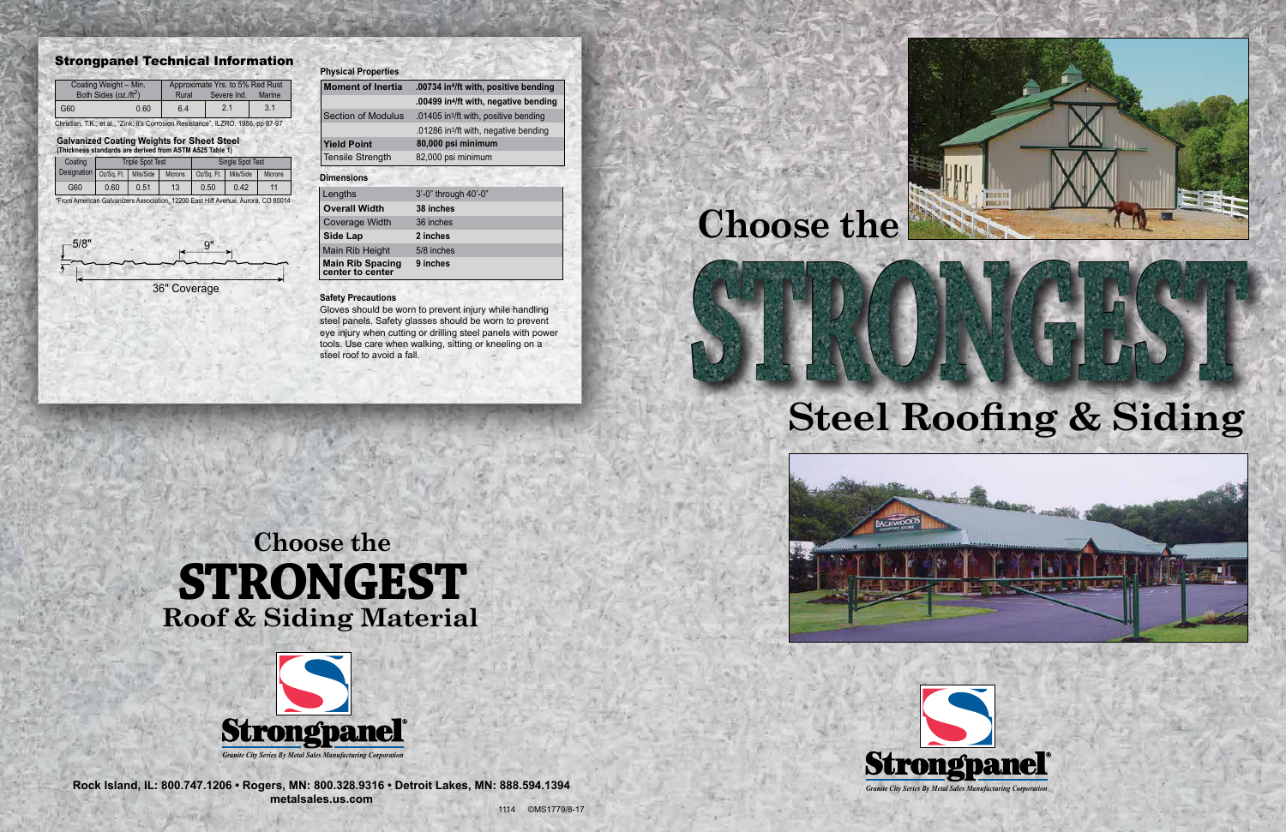# **Steel Roofing & Siding**





**Rock Island, IL: 800.747.1206 • Rogers, MN: 800.328.9316 • Detroit Lakes, MN: 888.594.1394 metalsales.us.com**





#### Strongpanel Technical Information

Christian, T.K., et al., "Zink: it's Corrosion Resistance", ILZRO, 1986, pp 87-97

\*From American Galvanizers Association, 12200 East Hiff Avenue, Aurora, CO 80014

| Coating Weight - Min.<br>Both Sides (oz./ft <sup>2</sup> ) |      | Approximate Yrs. to 5% Red Rust<br>Severe Ind.<br>Marine<br>Rural |     |     |  |
|------------------------------------------------------------|------|-------------------------------------------------------------------|-----|-----|--|
| G60                                                        | 0.60 | 6.4                                                               | 2.1 | 3.1 |  |

#### **Galvanized Coating Weights for Sheet Steel**

| (Thickness standards are derived from ASTM A525 Table 1) |                         |           |                |                         |           |                |  |  |  |
|----------------------------------------------------------|-------------------------|-----------|----------------|-------------------------|-----------|----------------|--|--|--|
| Coating                                                  | <b>Triple Spot Test</b> |           |                | <b>Single Spot Test</b> |           |                |  |  |  |
| <b>Designation</b>                                       | Oz/Sa, Ft.              | Mils/Side | <b>Microns</b> | Oz/Sa, Ft.              | Mils/Side | <b>Microns</b> |  |  |  |
| G60                                                      | 0.60                    | 0.51      | 13             | 0.50                    | 0.42      | 11             |  |  |  |

#### **Safety Precautions**

36" Coverage







**ACKWOODS** 

| <b>Physical Properties</b>                  |                                                   |
|---------------------------------------------|---------------------------------------------------|
| <b>Moment of Inertia</b>                    | .00734 in <sup>4</sup> /ft with, positive bending |
|                                             | .00499 in <sup>4</sup> /ft with, negative bending |
| <b>Section of Modulus</b>                   | .01405 in <sup>3</sup> /ft with, positive bending |
|                                             | .01286 in <sup>3</sup> /ft with, negative bending |
| <b>Yield Point</b>                          | 80,000 psi minimum                                |
| <b>Tensile Strength</b>                     | 82,000 psi minimum                                |
| <b>Dimensions</b>                           |                                                   |
| Lengths                                     | 3'-0" through 40'-0"                              |
| <b>Overall Width</b>                        | 38 inches                                         |
| <b>Coverage Width</b>                       | 36 inches                                         |
| <b>Side Lap</b>                             | 2 inches                                          |
| Main Rib Height                             | 5/8 inches                                        |
| <b>Main Rib Spacing</b><br>center to center | 9 inches                                          |

Gloves should be worn to prevent injury while handling steel panels. Safety glasses should be worn to prevent eye injury when cutting or drilling steel panels with power tools. Use care when walking, sitting or kneeling on a